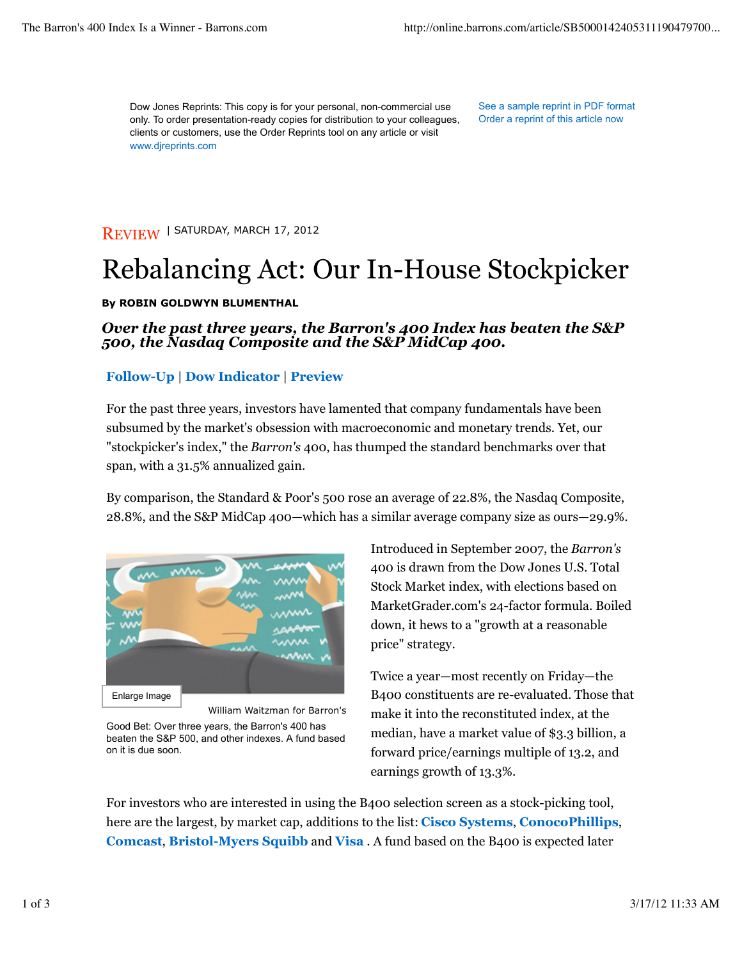Dow Jones Reprints: This copy is for your personal, non-commercial use only. To order presentation-ready copies for distribution to your colleagues, clients or customers, use the Order Reprints tool on any article or visit www.djreprints.com

See a sample reprint in PDF format Order a reprint of this article now

REVIEW | SATURDAY, MARCH 17, 2012

# Rebalancing Act: Our In-House Stockpicker

#### **By ROBIN GOLDWYN BLUMENTHAL**

### *Over the past three years, the Barron's 400 Index has beaten the S&P 500, the Nasdaq Composite and the S&P MidCap 400.*

#### **Follow-Up** | **Dow Indicator** | **Preview**

For the past three years, investors have lamented that company fundamentals have been subsumed by the market's obsession with macroeconomic and monetary trends. Yet, our "stockpicker's index," the *Barron's* 400, has thumped the standard benchmarks over that span, with a 31.5% annualized gain.

By comparison, the Standard & Poor's 500 rose an average of 22.8%, the Nasdaq Composite, 28.8%, and the S&P MidCap 400—which has a similar average company size as ours—29.9%.



William Waitzman for Barron's

Good Bet: Over three years, the Barron's 400 has beaten the S&P 500, and other indexes. A fund based on it is due soon.

Introduced in September 2007, the *Barron's* 400 is drawn from the Dow Jones U.S. Total Stock Market index, with elections based on MarketGrader.com's 24-factor formula. Boiled down, it hews to a "growth at a reasonable price" strategy.

Twice a year—most recently on Friday—the B400 constituents are re-evaluated. Those that make it into the reconstituted index, at the median, have a market value of \$3.3 billion, a forward price/earnings multiple of 13.2, and earnings growth of 13.3%.

For investors who are interested in using the B400 selection screen as a stock-picking tool, here are the largest, by market cap, additions to the list: **Cisco Systems**, **ConocoPhillips**, **Comcast**, **Bristol-Myers Squibb** and **Visa** . A fund based on the B400 is expected later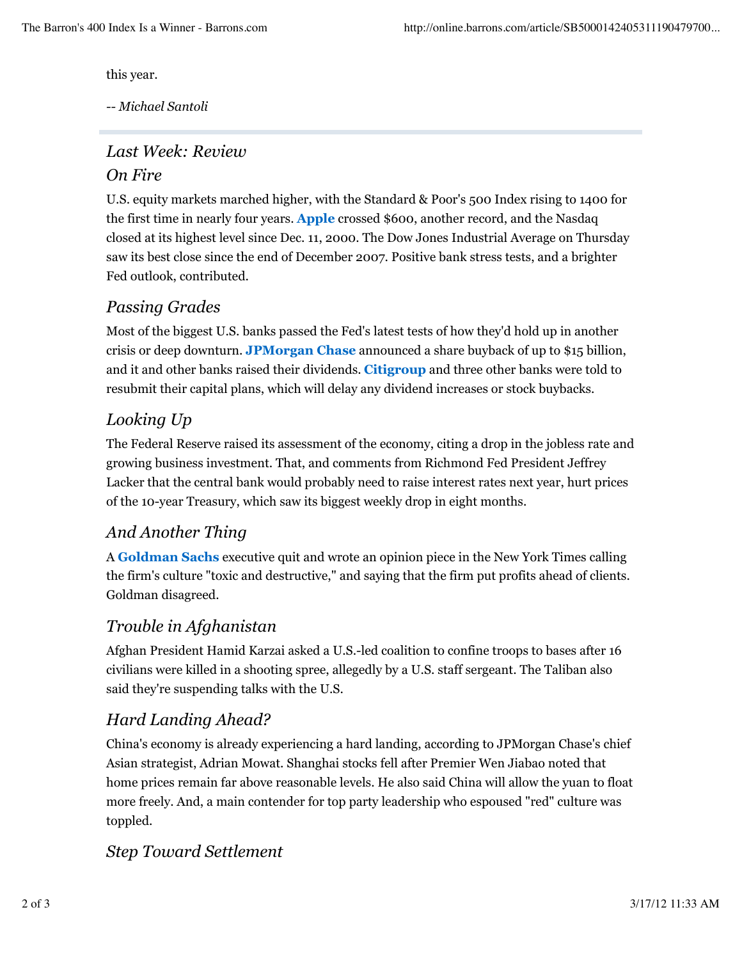this year.

*-- Michael Santoli*

## *Last Week: Review On Fire*

U.S. equity markets marched higher, with the Standard & Poor's 500 Index rising to 1400 for the first time in nearly four years. **Apple** crossed \$600, another record, and the Nasdaq closed at its highest level since Dec. 11, 2000. The Dow Jones Industrial Average on Thursday saw its best close since the end of December 2007. Positive bank stress tests, and a brighter Fed outlook, contributed.

### *Passing Grades*

Most of the biggest U.S. banks passed the Fed's latest tests of how they'd hold up in another crisis or deep downturn. **JPMorgan Chase** announced a share buyback of up to \$15 billion, and it and other banks raised their dividends. **Citigroup** and three other banks were told to resubmit their capital plans, which will delay any dividend increases or stock buybacks.

### *Looking Up*

The Federal Reserve raised its assessment of the economy, citing a drop in the jobless rate and growing business investment. That, and comments from Richmond Fed President Jeffrey Lacker that the central bank would probably need to raise interest rates next year, hurt prices of the 10-year Treasury, which saw its biggest weekly drop in eight months.

### *And Another Thing*

A **Goldman Sachs** executive quit and wrote an opinion piece in the New York Times calling the firm's culture "toxic and destructive," and saying that the firm put profits ahead of clients. Goldman disagreed.

### *Trouble in Afghanistan*

Afghan President Hamid Karzai asked a U.S.-led coalition to confine troops to bases after 16 civilians were killed in a shooting spree, allegedly by a U.S. staff sergeant. The Taliban also said they're suspending talks with the U.S.

### *Hard Landing Ahead?*

China's economy is already experiencing a hard landing, according to JPMorgan Chase's chief Asian strategist, Adrian Mowat. Shanghai stocks fell after Premier Wen Jiabao noted that home prices remain far above reasonable levels. He also said China will allow the yuan to float more freely. And, a main contender for top party leadership who espoused "red" culture was toppled.

### *Step Toward Settlement*